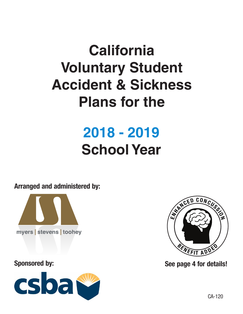# **California Voluntary Student Accident & Sickness Plans for the**

# **2018 - 2019 School Year**

Arranged and administered by:



## Sponsored by:





See page 4 for details!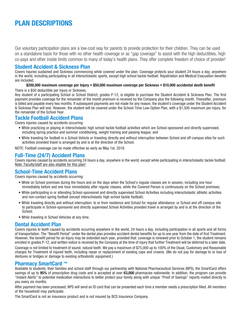## PLAN DESCRIPTIONS

Our voluntary participation plans are a low-cost way for parents to provide protection for their children. They can be used on a standalone basis for those with no other health coverage or as "gap coverage" to assist with the high deductibles, high co-pays and other inside limits common to many of today's health plans. They offer complete freedom of choice of provider!

#### Student Accident & Sickness Plan

Covers Injuries sustained and Sickness commencing while covered under the plan. Coverage protects your student 24 hours a day, anywhere in the world, including participating in all interscholastic sports, except high school tackle football. Repatriation and Medical Evacuation benefits are included.

#### \$200,000 maximum coverage per Injury • \$50,000 maximum coverage per Sickness • \$10,000 accidental death benefit

There is a \$50 deductible per Injury or Sickness.

Any student of a participating School or School District, grades P-12, is eligible to purchase the Student Accident & Sickness Plan. The first payment provides coverage for the remainder of the month premium is received by the Company plus the following month. Thereafter, premium is billed and payable every two months. If subsequent payments are not made for any reason, the student's coverage under the Student Accident & Sickness Plan will end. However, the student will be covered under the School-Time Low-Option Plan, with a \$1,500 maximum per injury, for the remainder of the School Year.

#### Tackle Football Accident Plans

Covers injuries caused by accidents occurring:

- While practicing or playing in interscholastic high school tackle football activities which are School-sponsored and directly supervised, including spring practice and summer conditioning, weight training and passing league; and
- While traveling for football in a School Vehicle or traveling directly and without interruption between School and off-campus sites for such activities provided travel is arranged by and is at the direction of the School.

NOTE: Football coverage can be made effective as early as May 1st, 2018.

#### Full-Time (24/7) Accident Plans

Covers injuries caused by accidents occurring 24 hours a day, anywhere in the world, except while participating in interscholastic tackle football. Note: Faculty/staff are also eligible for this plan!

#### School-Time Accident Plans

Covers injuries caused by accidents occurring:

- While on School premises during the hours and on the days when the School's regular classes are in session, including one hour immediately before and one hour immediately after regular classes, while the Covered Person is continuously on the School premises;
- While participating in or attending School-sponsored and directly supervised School Activities including interscholastic athletic activities and non-contact spring football (except interscholastic high school tackle football);
- While traveling directly and without interruption: to or from residence and School for regular attendance; or School and off-campus site to participate in School-sponsored and directly supervised School Activities provided travel is arranged by and is at the direction of the School;
- While traveling in School Vehicles at any time.

#### Dental Accident Plan

Covers injuries to teeth caused by accidents occurring anywhere in the world, 24 hours a day, including participation in all sports and all forms of transportation. The "Benefit Period" under the dental plan provides accident dental benefits for up to one year from the date of first Treatment. However, the benefit period for an Injury may be extended each year, provided that: coverage is renewed prior to October 1, the student remains enrolled in grades P-12, and written notice is received by the Company at the time of injury that further Treatment will be deferred to a later date.

Coverage is not limited to treatment of sound, natural teeth. We pay a maximum of \$75,000 up to 100% of the Usual, Customary and Reasonable charges for Treatment of injured teeth, including repair or replacement of existing caps and crowns. (We do not pay for damage to or loss of dentures or bridges or damage to existing orthodontic equipment.)

#### Pharmacy SmartCard ™

Available to students, their families and school staff through our partnership with National Pharmaceutical Services (NPS), the SmartCard offers savings of up to 95% of prescription drug costs and is accepted at over 63,000 pharmacies nationwide. In addition, the program can provide "Instant Alerts" to potential medication interactions to better protect your family along with unique "Proof of Savings" reports mailed directly to you every six months.

After payment has been processed, NPS will send an ID card that can be presented each time a member needs a prescription filled. All members of the household may participate.

The SmartCard is not an insurance product and is not insured by BCS Insurance Company.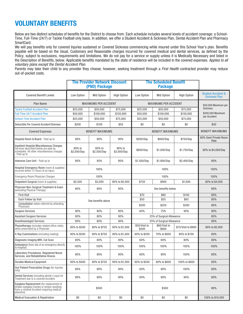## VOLUNTARY BENEFITS

Below are two distinct schedules of benefits for the District to choose from. Each schedule includes several levels of accident coverage: a School-Time, Full-Time (24/7) or Tackle Football only basis. In addition, we offer a Student Accident & Sickness Plan, Dental Accident Plan and Pharmacy SmartCard.

We will pay benefits only for covered Injuries sustained or Covered Sickness commencing while insured under this School Year's plan. Benefits payable will be based on the Usual, Customary and Reasonable charges incurred for covered medical and dental services, as defined by the Policy, subject to exclusions, requirements and limitations. We do not pay for a service or supply unless it is Medically Necessary and listed in the Description of Benefits, below. Applicable benefits mandated by the state of residence will be included in the covered expenses. Applies to all voluntary plans except the Dental Accident Plan.

Parents may take their child to any provider they choose; however, seeking treatment through a First Health contracted provider may reduce out-of-pocket costs.

|                                                                                                                                                   |                              | <b>The Provider Network Discount</b><br>(PND) Package |                              |                        | <b>The Scheduled Benefit</b><br><b>Package</b> |                      |                                                       |
|---------------------------------------------------------------------------------------------------------------------------------------------------|------------------------------|-------------------------------------------------------|------------------------------|------------------------|------------------------------------------------|----------------------|-------------------------------------------------------|
| <b>Covered Benefit Levels</b>                                                                                                                     | Low Option                   | Mid Option                                            | <b>High Option</b>           | Low Option             | Mid Option                                     | <b>High Option</b>   | <b>Student Accident &amp;</b><br><b>Sickness Plan</b> |
| Plan Name                                                                                                                                         | <b>MAXIMUMS PER ACCIDENT</b> |                                                       | <b>MAXIMUMS PER ACCIDENT</b> |                        |                                                | \$50,000 Maximum per |                                                       |
| <b>Tackle Football Accident Plan</b>                                                                                                              | \$25,000                     | \$50,000                                              | \$75,000                     | \$25,000               | \$50,000                                       | \$75,000             | <b>Sickness</b>                                       |
| <b>Full-Time 24/7 Accident Plan</b>                                                                                                               | \$50,000                     | \$100,000                                             | \$150,000                    | \$50,000               | \$100,000                                      | \$150,000            | \$200,000 Maximum                                     |
| School-Time Accident Plan                                                                                                                         | \$25.000                     | \$50,000                                              | \$75,000                     | \$25,000               | \$50,000                                       | \$75,000             | per Accident                                          |
| Deductible Per Covered Accident/Sickness                                                                                                          | \$200                        | \$100                                                 | \$50                         | \$0                    | \$0                                            | \$0                  | \$50                                                  |
| <b>Covered Expenses</b>                                                                                                                           |                              | <b>BENEFIT MAXIMUMS</b>                               |                              |                        | <b>BENEFIT MAXIMUMS</b>                        |                      | <b>BENEFIT MAXIMUMS</b>                               |
| Hospital Room & Board - Paid up to                                                                                                                | 80%                          | 80%                                                   | 90%                          | \$500/Day              | \$600/Day                                      | \$750/Day            | 80% Semi Private Room<br>Rate                         |
| Inpatient Hospital Miscellaneous Charges.<br>Services described below are paid as<br>scheduled. All other miscellaneous charges<br>- Paid up to   | 80% to<br>\$2,000/Day        | 80% to<br>\$2,500/Day                                 | 90% to<br>\$3,000/Day        | \$800/Day              | \$1,000/Day                                    | \$1,750/Day          | 80% to \$4,000/Day                                    |
| Intensive Care Unit - Paid up to                                                                                                                  | 80%                          | 85%                                                   | 90%                          | \$1,500/Day            | \$1.800/Dav                                    | \$2,400/Day          | 80%                                                   |
| Hospital Emergency Room (room & supplies)<br>incurred within 72 hours of an Injury                                                                |                              | 100%                                                  |                              |                        | 100%                                           |                      | 100%                                                  |
| Emergency Room Physician Charges                                                                                                                  |                              | 100%                                                  |                              |                        | 100%                                           |                      | 100%                                                  |
| Outpatient Surgical (room & supplies)                                                                                                             | \$2,500                      | \$3,000                                               | 90% to \$5,000               | \$750                  | \$900                                          | \$1,600              | 80% to \$4,000                                        |
| Physician Non-Surgical Treatment & Exam<br>(excluding Physical Therapy)                                                                           | 80%                          | 80%                                                   | 90%                          |                        | See benefits below                             |                      | 80%                                                   |
| <b>First Visit</b>                                                                                                                                |                              |                                                       |                              | \$70                   | \$80                                           | \$100                | 80%                                                   |
| Each Follow Up Visit                                                                                                                              |                              | See benefits above                                    |                              |                        | \$55                                           | \$65                 | 80%                                                   |
| Consultation (when referred by attending<br>Physician)                                                                                            |                              |                                                       |                              | \$200                  | \$250                                          | \$300                | 80%                                                   |
| <b>Surgeon Services</b>                                                                                                                           | 80%                          | 80%                                                   | 90%                          | 60%                    | 75%                                            | 90%                  | 80%                                                   |
| Assistant Surgeon Services                                                                                                                        | 80%                          | 80%                                                   | 90%                          |                        | 25% of Surgical Allowance                      |                      | 80%                                                   |
| Anesthesiologist Services                                                                                                                         | 80%                          | 80%                                                   | 90%                          |                        | 25% of Surgical Allowance                      |                      | 80%                                                   |
| Physiotherapy (includes related office visits)<br>when prescribed by a Physician                                                                  | 80% to \$500                 | 80% to \$750                                          | 90% to \$1,000               | \$50/Visit to<br>\$500 | \$60/Visit to<br>\$600                         | \$75/Visit to \$900  | 80% to \$2,000                                        |
| X-Ray Examinations (including reading)                                                                                                            | 80% to \$500                 | 80% to \$750                                          | 90% to \$1,000               | 60% to \$500           | 70% to \$600                                   | 80% to \$700         | 80%                                                   |
| Diagnostic Imaging MRI, Cat Scan                                                                                                                  | 80%                          | 80%                                                   | 90%                          | 60%                    | 60%                                            | 80%                  | 80%                                                   |
| Ambulance (from site of an emergency directly<br>to hospital)                                                                                     | 100%                         | 100%                                                  | 100%                         | 100%                   | 100%                                           | 100%                 | 100%                                                  |
| Laboratory Procedures, Registered Nurse<br>Services, and Rehabilitative Braces                                                                    | 80%                          | 80%                                                   | 90%                          | 60%                    | 80%                                            | 100%                 | 80%                                                   |
| Durable Medical Equipment                                                                                                                         | 80% to \$400                 | 80% to \$750                                          | 90% to \$1,000               | 60% to \$500           | 80% to \$600                                   | 100% to \$800        | 80%                                                   |
| Out-Patient Prescription Drugs (for Injuries<br>only)                                                                                             | 80%                          | 80%                                                   | 90%                          | 60%                    | 80%                                            | 100%                 | 80%                                                   |
| Dental Services (including dental x-rays) for<br>Treatment due to a covered Accident                                                              | 80%                          | 80%                                                   | 90%                          | 60%                    | 80%                                            | 90%                  | 80%                                                   |
| Eyeglass Replacement (for replacement of<br>broken eyeglass frames or lenses resulting<br>from a covered Accident requiring medical<br>attention) | \$500                        |                                                       |                              | \$500                  |                                                |                      | 80%                                                   |
| <b>Medical Evacuation &amp; Repatriation</b>                                                                                                      | \$0                          | \$0                                                   | \$0                          | \$0                    | \$0                                            | \$0                  | 100% to \$10,000                                      |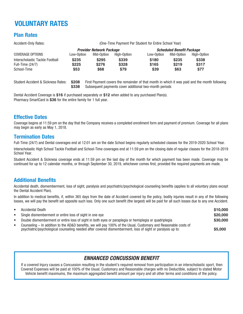# VOLUNTARY RATES

## Plan Rates

Accident-Only Rates: (One-Time Payment Per Student for Entire School Year) **Provider Network Package Scheduled Benefit Package** COVERAGE OPTIONS Low-Option Mid-Option High-Option Low-Option Mid-Option High-Option Interscholastic Tackle Football **\$235 \$295 \$339 \$180 \$235 \$338** Full-Time (24/7) **\$225 \$276 \$328 \$165 \$219 \$317** School-Time **\$53 \$68 \$79 \$39 \$63 \$77**

Student Accident & Sickness Rates: **\$208** First Payment covers the remainder of that month in which it was paid and the month following **\$338** Subsequent payments cover additional two-month periods

Dental Accident Coverage is **\$16** if purchased separately or **\$12** when added to any purchased Plan(s). Pharmacy SmartCard is **\$36** for the entire family for 1 full year.

## Effective Dates

Coverage begins at 11:59 pm on the day that the Company receives a completed enrollment form and payment of premium. Coverage for all plans may begin as early as May 1, 2018.

#### Termination Dates

Full-Time (24/7) and Dental coverages end at 12:01 am on the date School begins regularly scheduled classes for the 2019-2020 School Year.

Interscholastic High School Tackle Football and School-Time coverages end at 11:59 pm on the closing date of regular classes for the 2018-2019 School Year.

Student Accident & Sickness coverage ends at 11:59 pm on the last day of the month for which payment has been made. Coverage may be continued for up to 12 calendar months, or through September 30, 2019, whichever comes first, provided the required payments are made.

#### Additional Benefits

Accidental death, dismemberment, loss of sight, paralysis and psychiatric/psychological counseling benefits (applies to all voluntary plans except the Dental Accident Plan).

In addition to medical benefits, if, within 365 days from the date of Accident covered by the policy, bodily injuries result in any of the following losses, we will pay the benefit set opposite such loss. Only one such benefit (the largest) will be paid for all such losses due to any one Accident.

| $\bullet$ | <b>Accidental Death</b>                                                                                                                                                                                                       | \$10,000 |
|-----------|-------------------------------------------------------------------------------------------------------------------------------------------------------------------------------------------------------------------------------|----------|
| $\bullet$ | Single dismemberment or entire loss of sight in one eye                                                                                                                                                                       | \$20,000 |
| $\bullet$ | Double dismemberment or entire loss of sight in both eyes or paraplegia or hemiplegia or quadriplegia                                                                                                                         | \$30,000 |
| $\bullet$ | Counseling – In addition to the AD&D benefits, we will pay 100% of the Usual, Customary and Reasonable costs of<br>psychiatric/psychological counseling needed after covered dismemberment, loss of sight or paralysis up to: | \$5,000  |

## *ENHANCED CONCUSSION BENEFIT*

If a covered Injury causes a Concussion resulting in the student's required removal from participation in an interscholastic sport, then Covered Expenses will be paid at 100% of the Usual, Customary and Reasonable charges with no Deductible, subject to stated Motor Vehicle benefit maximums, the maximum aggregated benefit amount per injury and all other terms and conditions of the policy.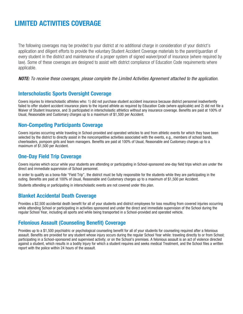## LIMITED ACTIVITIES COVERAGE

The following coverages may be provided to your district at no additional charge in consideration of your district's application and diligent efforts to provide the voluntary Student Accident Coverage materials to the parent/guardian of every student in the district and maintenance of a proper system of signed waiver/proof of insurance (where required by law). Some of these coverages are designed to assist with district compliance of Education Code requirements where applicable.

#### **NOTE:** To receive these coverages, please complete the Limited Activities Agreement attached to the application.

#### Interscholastic Sports Oversight Coverage

Covers injuries to interscholastic athletes who: 1) did not purchase student accident insurance because district personnel inadvertently failed to offer student accident insurance plans to the injured athlete as required by Education Code (where applicable) and 2) did not file a Waiver of Student Insurance, and 3) participated in interscholastic athletics without any insurance coverage. Benefits are paid at 100% of Usual, Reasonable and Customary charges up to a maximum of \$1,500 per Accident.

#### Non-Competing Participants Coverage

Covers injuries occurring while traveling in School-provided and operated vehicles to and from athletic events for which they have been selected by the district to directly assist in the noncompetitive activities associated with the events, e.g., members of school bands, cheerleaders, pompom girls and team managers. Benefits are paid at 100% of Usual, Reasonable and Customary charges up to a maximum of \$1,500 per Accident.

#### One-Day Field Trip Coverage

Covers injuries which occur while your students are attending or participating in School-sponsored one-day field trips which are under the direct and immediate supervision of School personnel.

In order to qualify as a bona-fide "Field Trip", the district must be fully responsible for the students while they are participating in the outing. Benefits are paid at 100% of Usual, Reasonable and Customary charges up to a maximum of \$1,500 per Accident.

Students attending or participating in interscholastic events are not covered under this plan.

#### Blanket Accidental Death Coverage

Provides a \$2,500 accidental death benefit for all of your students and district employees for loss resulting from covered injuries occurring while attending School or participating in activities sponsored and under the direct and immediate supervision of the School during the regular School Year, including all sports and while being transported in a School-provided and operated vehicle.

## Felonious Assault (Counseling Benefit) Coverage

Provides up to a \$1,500 psychiatric or psychological counseling benefit for all of your students for counseling required after a felonious assault. Benefits are provided for any student whose injury occurs during the regular School Year while: traveling directly to or from School; participating in a School-sponsored and supervised activity; or on the School's premises. A felonious assault is an act of violence directed against a student, which results in a bodily Injury for which a student requires and seeks medical Treatment, and the School files a written report with the police within 24 hours of the assault.